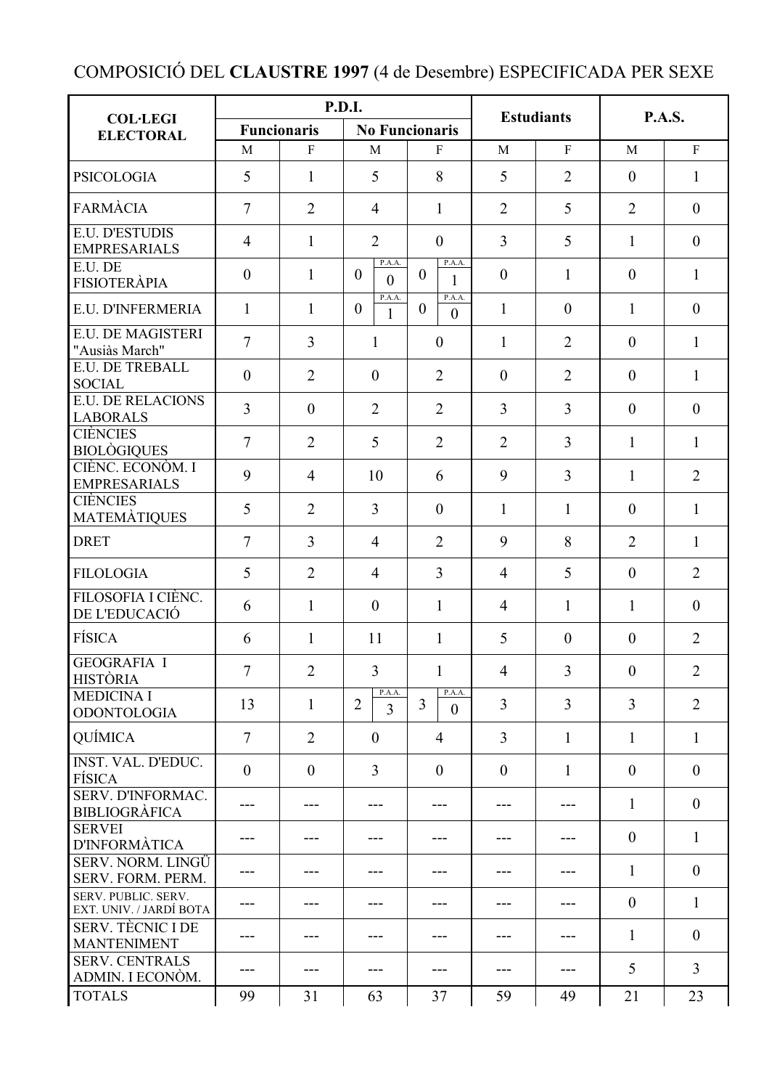## COMPOSICIÓ DEL **CLAUSTRE 1997** (4 de Desembre) ESPECIFICADA PER SEXE

|                                                  | <b>P.D.I.</b>      |                |                                    |                                        | <b>Estudiants</b> |                  | <b>P.A.S.</b>  |                |
|--------------------------------------------------|--------------------|----------------|------------------------------------|----------------------------------------|-------------------|------------------|----------------|----------------|
| <b>COL·LEGI</b><br><b>ELECTORAL</b>              | <b>Funcionaris</b> |                | <b>No Funcionaris</b>              |                                        |                   |                  |                |                |
|                                                  | M                  | F              | $\mathbf{M}$                       | F                                      | M                 | $\mathbf{F}$     | M              | $\mathbf{F}$   |
| <b>PSICOLOGIA</b>                                | 5                  | $\mathbf{1}$   | 5                                  | 8                                      | 5                 | $\overline{2}$   | $\mathbf{0}$   | $\mathbf{1}$   |
| <b>FARMÀCIA</b>                                  | 7                  | $\overline{2}$ | $\overline{4}$                     | $\mathbf{1}$                           | $\overline{2}$    | 5                | $\overline{2}$ | $\overline{0}$ |
| <b>E.U. D'ESTUDIS</b><br><b>EMPRESARIALS</b>     | $\overline{4}$     | $\mathbf{1}$   | $\overline{2}$                     | $\mathbf{0}$                           | $\overline{3}$    | 5                | $\mathbf{1}$   | $\overline{0}$ |
| E.U. DE<br><b>FISIOTERÀPIA</b>                   | $\overline{0}$     | $\mathbf{1}$   | P.A.A.<br>$\mathbf{0}$<br>$\theta$ | P.A.A.<br>$\mathbf{0}$<br>$\mathbf{1}$ | $\overline{0}$    | 1                | $\overline{0}$ | $\mathbf{1}$   |
| E.U. D'INFERMERIA                                | $\mathbf{1}$       | $\mathbf{1}$   | P.A.A.<br>$\boldsymbol{0}$<br>1    | P.A.A.<br>$\mathbf{0}$<br>$\theta$     | $\mathbf{1}$      | $\boldsymbol{0}$ | $\mathbf{1}$   | $\mathbf{0}$   |
| <b>E.U. DE MAGISTERI</b><br>"Ausiàs March"       | 7                  | $\overline{3}$ | $\mathbf{1}$                       | $\overline{0}$                         | $\mathbf{1}$      | $\overline{2}$   | $\overline{0}$ | $\mathbf{1}$   |
| <b>E.U. DE TREBALL</b><br><b>SOCIAL</b>          | $\overline{0}$     | $\overline{2}$ | $\mathbf{0}$                       | 2                                      | $\mathbf{0}$      | $\overline{2}$   | $\mathbf{0}$   | $\mathbf{1}$   |
| <b>E.U. DE RELACIONS</b><br><b>LABORALS</b>      | $\overline{3}$     | $\mathbf{0}$   | $\overline{2}$                     | $\overline{2}$                         | $\overline{3}$    | $\overline{3}$   | $\overline{0}$ | $\overline{0}$ |
| <b>CIÈNCIES</b><br><b>BIOLÒGIQUES</b>            | $\overline{7}$     | $\overline{2}$ | 5                                  | $\overline{2}$                         | $\overline{2}$    | $\overline{3}$   | $\mathbf{1}$   | 1              |
| CIÈNC. ECONÒM. I<br><b>EMPRESARIALS</b>          | 9                  | $\overline{4}$ | 10                                 | 6                                      | 9                 | 3                | $\mathbf{1}$   | $\overline{2}$ |
| <b>CIÈNCIES</b><br><b>MATEMATIQUES</b>           | 5                  | $\overline{2}$ | $\overline{3}$                     | $\mathbf{0}$                           | $\mathbf{1}$      | 1                | $\mathbf{0}$   | $\mathbf{1}$   |
| <b>DRET</b>                                      | $\overline{7}$     | $\overline{3}$ | $\overline{4}$                     | $\overline{2}$                         | 9                 | 8                | $\overline{2}$ | $\mathbf{1}$   |
| <b>FILOLOGIA</b>                                 | 5                  | $\overline{2}$ | $\overline{4}$                     | $\overline{3}$                         | $\overline{4}$    | 5                | $\overline{0}$ | $\overline{2}$ |
| FILOSOFIA I CIÈNC.<br>DE L'EDUCACIÓ              | 6                  | $\mathbf{1}$   | $\overline{0}$                     | $\mathbf{1}$                           | $\overline{4}$    | $\mathbf{1}$     | $\mathbf{1}$   | $\mathbf{0}$   |
| <b>FÍSICA</b>                                    | 6                  | $\mathbf{1}$   | 11                                 | $\mathbf{1}$                           | 5                 | $\mathbf{0}$     | $\overline{0}$ | $\overline{2}$ |
| <b>GEOGRAFIA I</b><br><b>HISTÒRIA</b>            | $\overline{7}$     | $\overline{2}$ | 3 <sup>1</sup>                     | $\mathbf{1}$                           | $\overline{4}$    | $\overline{3}$   | $\overline{0}$ | $\overline{2}$ |
| <b>MEDICINA I</b><br><b>ODONTOLOGIA</b>          | 13                 | $\mathbf{1}$   | P.A.A.<br>$\overline{2}$<br>3      | P.A.A.<br>$\overline{3}$<br>$\theta$   | $\overline{3}$    | $\overline{3}$   | $\overline{3}$ | $\overline{2}$ |
| QUÍMICA                                          | $\overline{7}$     | $\overline{2}$ | $\mathbf{0}$                       | $\overline{4}$                         | $\overline{3}$    | $\mathbf{1}$     | $\mathbf{1}$   | $\mathbf{1}$   |
| INST. VAL. D'EDUC.<br><b>FÍSICA</b>              | $\theta$           | $\mathbf{0}$   | $\overline{3}$                     | $\overline{0}$                         | $\mathbf{0}$      | $\mathbf{1}$     | $\overline{0}$ | $\overline{0}$ |
| <b>SERV. D'INFORMAC.</b><br><b>BIBLIOGRÀFICA</b> | ---                |                |                                    | ---                                    |                   |                  | 1              | $\overline{0}$ |
| <b>SERVEI</b><br><b>D'INFORMÀTICA</b>            | ---                | ---            |                                    |                                        |                   |                  | $\overline{0}$ | 1              |
| SERV. NORM. LINGÜ<br><b>SERV. FORM. PERM.</b>    |                    |                |                                    |                                        |                   |                  | $\mathbf{1}$   | $\mathbf{0}$   |
| SERV. PUBLIC. SERV.<br>EXT. UNIV. / JARDÍ BOTA   |                    |                |                                    |                                        |                   |                  | $\overline{0}$ | 1              |
| <b>SERV. TÈCNIC I DE</b><br><b>MANTENIMENT</b>   | ---                |                |                                    |                                        |                   |                  | 1              | $\mathbf{0}$   |
| <b>SERV. CENTRALS</b><br>ADMIN. I ECONÒM.        | ---                | ---            | ---                                | ---                                    | ---               | ---              | 5              | $\overline{3}$ |
| <b>TOTALS</b>                                    | 99                 | 31             | 63                                 | 37                                     | 59                | 49               | 21             | 23             |